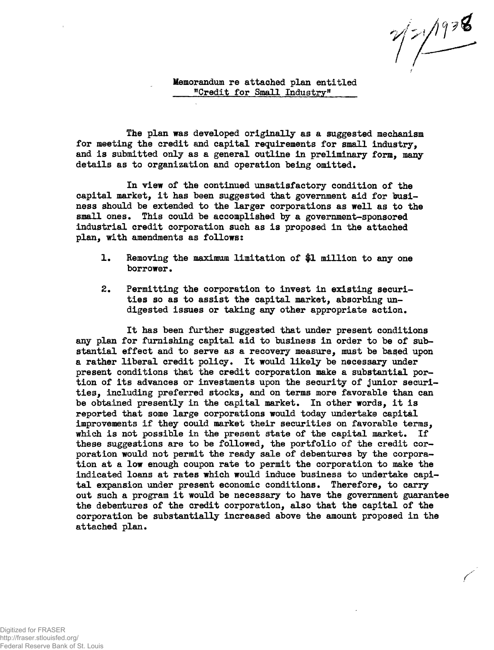$\frac{1}{\sqrt{2}}$ 

**Memorandum re attached plan entitled "Credit for Small Industry"** 

**The plan was developed originally as a suggested mechanism for meeting the credit and capital requirements for small industry, and i s submitted only as a general outline in preliminary form, many details as to organization and operation being omitted.** 

**In view of the continued unsatisfactory condition of the capital market, i t has been suggested that government aid for business should be extended to the larger corporations as well as to the small ones. This could be accomplished by a government-sponsored industrial credit corporation such as i s proposed in the attached plan, with amendments as follows:** 

- **1. Removing the maximum limitation of \$1 million to any one borrower.**
- **2. Permitting the corporation to invest in existing securities so as to assist the capital market, absorbing undigested issues or taking any other appropriate action.**

**I t has been further suggested that under present conditions any plan for furnishing capital aid to business in order to be of sub**stantial effect and to serve as a recovery measure, must be based upon **a rather liberal credit policy. I t would likely be necessary under present conditions that the credit corporation make a substantial por**tion of its advances or investments upon the security of junior securi**ties, including preferred stocks, and on terms more favorable than can**  be obtained presently in the capital market. In other words, it is **reported that some large corporations would today undertake capital**  improvements if they could market their securities on favorable terms, which is not possible in the present state of the capital market. If **these suggestions are to be followed, the portfolio of the credit corporation would not permit the ready sale of debentures by the corporation at a low enough coupon rate to permit the corporation to make the indicated loans at rates which would induce business to undertake capi**tal expansion under present economic conditions. Therefore, to carry **out such a program i t would be necessary to have the government guarantee the debentures of the credit corporation, also that the capital of the corporation be substantially increased above the amount proposed i n the attached plan.**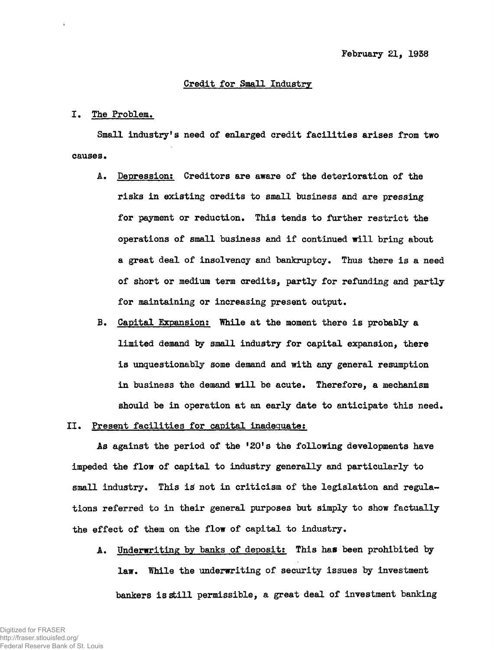#### **Credit for Small Industry**

### **I . The Problem.**

**Small industry<sup>1</sup> s need of enlarged credit facilitie s arises from two**  causes.

- **A. Depression: Creditors are aware of the deterioration of the risks in existing credits to small business and are pressing for payment or reduction. This tends to further restrict the operations of small business and if continued will bring about a great deal of insolvency and bankruptcy. Thus there i s a need of short or medium term credits, partly for refunding and partly for maintaining or increasing present output.**
- B. Capital Expansion: While at the moment there is probably a **limited demand by small industry for capital expansion, there i s unquestionably some demand and with any general resumption**  in business the demand will be acute. Therefore, a mechanism **should be in operation at an early date to anticipate this need.**

# II. Present facilities for capital inadequate:

**As against the period of the <sup>f</sup>20<sup>f</sup> s the following developments have impeded the flow of capital to industry generally and particularly to**  small industry. This is not in criticism of the legislation and regula**tions referred to in their general purposes but simply to show factually the effect of them on the flow of capital to industry.** 

**A. Underwriting by banks of deposit: This has been prohibited by law. While the underwriting of security issues by investment bankers i s stil l permissible, a great deal of investment banking**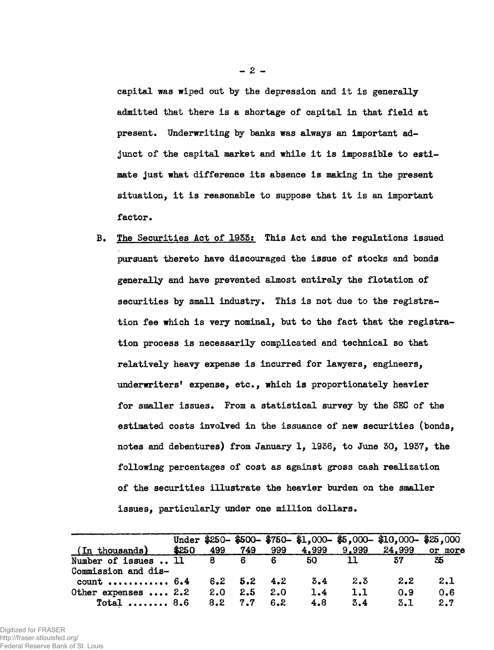capital was wiped out by the depression and it is generally **admitted that there i s a shortage of capital in that fiel d at present. Underwriting by banks was always an important ad**junct of the capital market and while it is impossible to esti**mate just what difference it s absence i s making i n the present situation, i t i s reasonable to suppose that i t i s an important factor.** 

**B. The Securities Act of 1955s This Act and the regulations issued pursuant thereto have discouraged the issue of stocks and bonds generally and have prevented almost entirely the flotation of**  securities by small industry. This is not due to the registration fee which is very nominal, but to the fact that the registra**tion process i s necessarily complicated and technical so that**  relatively heavy expense is incurred for lawyers, engineers, **underwriters<sup>1</sup> expense, etc., which i s proportionately heavier for smaller issues. From a statistical survey by the SEC of the estimated costs involved in the issuance of new securities (bonds, notes and debentures) from January 1, 1936, to June 50, 1937, the following percentages of cost as against gross cash realization of the securities illustrate the heavier burden on the smaller issues, particularly under one million dollars.** 

|                      |       |                 |                   |     |       |       | Under \$250-\$500-\$750-\$1,000-\$5,000-\$10,000-\$25,000 |         |
|----------------------|-------|-----------------|-------------------|-----|-------|-------|-----------------------------------------------------------|---------|
| (In thousands)       | \$250 | 499             | 749               | 999 | 4,999 | 9,999 | 24,999                                                    | or more |
| Number of issues  11 |       | 8.              | 6                 | 6   | -50   | 11    | 37                                                        | 35      |
| Commission and dis-  |       |                 |                   |     |       |       |                                                           |         |
| $count$ 6.4          |       |                 | $6.2$ $5.2$ $4.2$ |     | 3.4   | 2.3   | 2.2                                                       | 2.1     |
| Other expenses  2.2  |       | 2.0             | 2.5               | 2.0 | 1.4   | 1.1   | 0.9                                                       | 0.6     |
| $Total$ 8.6          |       | $8.2 \quad 7.7$ |                   | 6.2 | 4.8   | 3.4   | 3.1                                                       | 2.7     |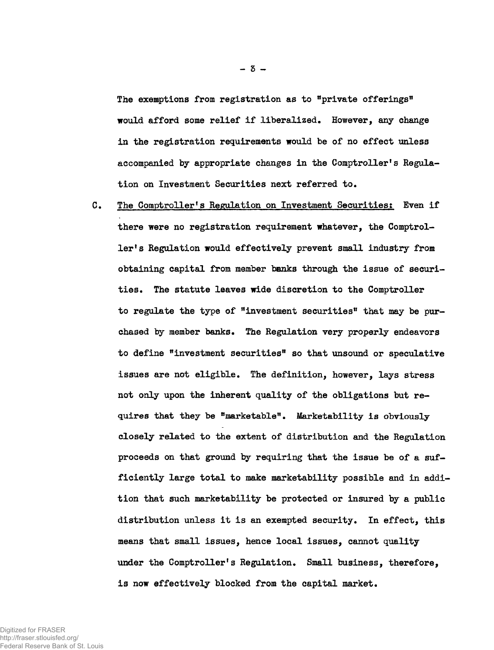The exemptions from registration as to "private offerings" **would afford some relief i f liberalized. However, any change in the registration requirements would be of no effect unless**  accompanied by appropriate changes in the Comptroller's Regula**tion on Investment Securities next referred to.** 

**C.** The Comptroller's Regulation on Investment Securities: Even if **there were no registration requirement whatever, the Comptrol**ler's Regulation would effectively prevent small industry from **obtaining capital from member banks through the issue of securities . The statute leaves wide discretion to the Comptroller to regulate the type of "investment securities® that may be purchased by member banks. The Regulation very properly endeavors**  to define **"investment securities"** so that unsound or speculative **issues are not eligible. The definition, however, lays stress not only upon the inherent quality of the obligations but requires that they be "marketable\*<sup>1</sup> . Marketability i s obviously closely related to the extent of distribution and the Regulation proceeds on that ground by requiring that the issue be of a sufficiently large total to make marketability possible and in addition that such marketability be protected or insured by a public distribution unless i t i s an exempted security. In effect, this means that small issues, hence local issues, cannot quality**  under the Comptroller's Regulation. Small business, therefore, **i s now effectively blocked from the capital market.**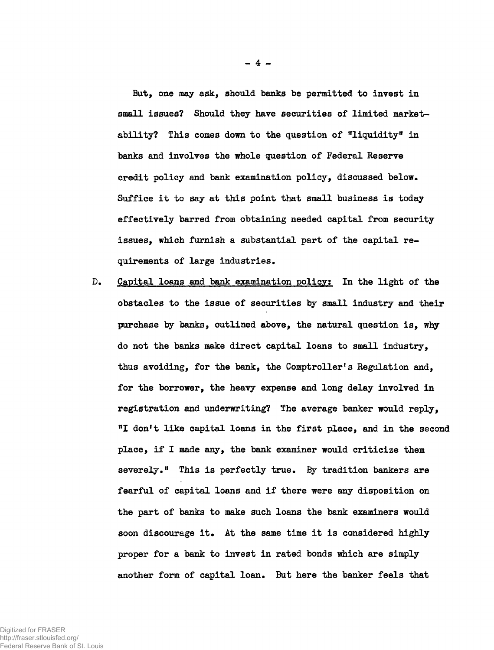But, one may ask, should banks be permitted to invest in **small issues? Should they have securities of limited market**ability? This comes down to the question of "liquidity" in **banks and involves the whole question of Federal Reserve credit policy and bank examination policy, discussed below.**  Suffice it to say at this point that small business is today **effectively barred from obtaining needed capital from security issues, which furnish a substantial part of the capital requirements of large industries.** 

**D. Capital loans and bank examination policy? In the light of the obstacles to the issue of securities by small industry and their purchase by banks, outlined above, the natural question is , why do not the banks make direct capital loans to small industry, thus avoiding, for the bank, the Comptroller's Regulation and, for the borrower, the heavy expense and long delay involved in registration and underwriting? The average banker would reply, "I don<sup>f</sup> t like capital loans in the firs t place, and in the second place, i f I made any, the bank examiner would criticize them**  severely." This is perfectly true. By tradition bankers are fearful of capital loans and if there were any disposition on **the part of banks to make such loans the bank examiners would soon discourage it . At the same time i t i s considered highly proper for a bank to invest in rated bonds which are simply another form of capital loan. But here the banker feels that**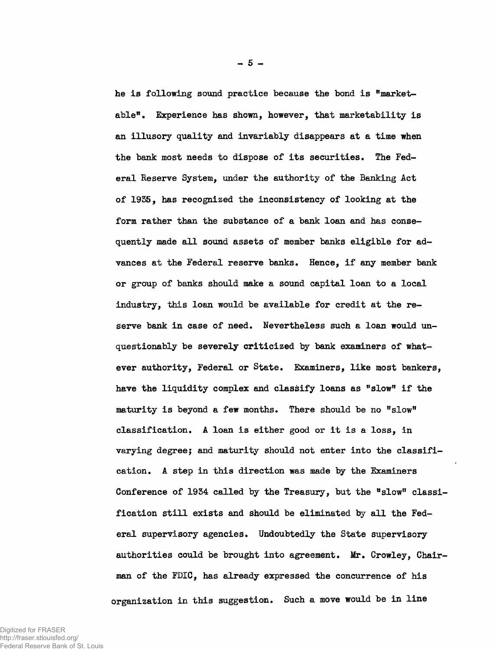**he i s following sound practice because the bond i s "marketable<sup>11</sup> . Experience has shown, however, that marketability i s an illusory quality and invariably disappears at a time when**  the bank most needs to dispose of its securities. The Fed**eral Reserve System, under the authority of the Banking Act of 1955, has recognized the inconsistency of looking at the form rather than the substance of a bank loan and has conse**quently made all sound assets of member banks eligible for advances at the Federal reserve banks. Hence, if any member bank **or group of banks should make a sound capital loan to a local industry, this loan would be available for credit at the reserve bank in case of need. Nevertheless such a loan would unquestionably be severely criticized by bank examiners of whatever authority, Federal or State. Examiners, like most bankers,**  have the liquidity complex and classify loans as "slow" if the **maturity i s beyond a few months. There should be no "slow" classification. A loan i s either good or i t i s a loss, in varying degree; and maturity should not enter into the classifi cation. A step in this direction was made by the Examiners Conference of 1954 called by the Treasury, but the "slow" classi**  fication still exists and should be eliminated by all the Fed**eral supervisory agencies. Undoubtedly the State supervisory authorities could be brought into agreement. Mr. Crowley, Chairman of the FDIC, has already expressed the concurrence of his organization in this suggestion. Such a move would be in line**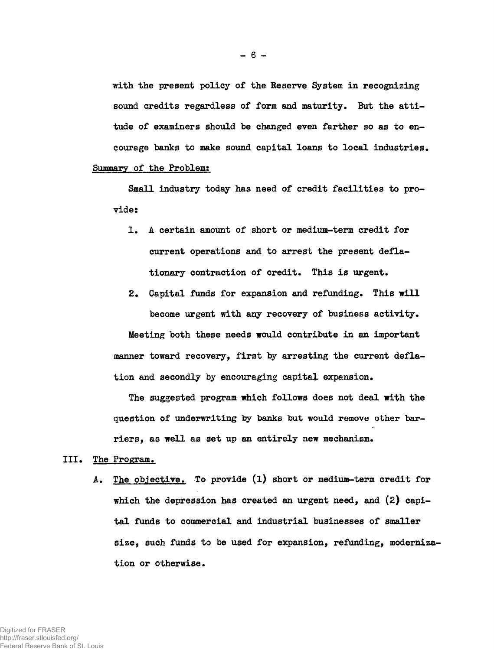**with the present policy of the Reserve System in recognizing**  sound credits regardless of form and maturity. But the atti**tude of examiners should be changed even farther so as to encourage banks to make sound capital loans to local industries. Summary of the Problem:** 

Small industry today has need of credit facilities to pro**vide:** 

- **1. A certain amount of short or medium-term credit for current operations and to arrest the present defla**tionary contraction of credit. This is urgent.
- 2. Capital funds for expansion and refunding. This will **become urgent with any recovery of business activity.**

**Meeting both these needs would contribute in an important**  manner toward recovery, first by arresting the current defla**tion and secondly by encouraging capital expansion.** 

**The suggested program which follows does not deal with the question of underwriting by banks but would remove other barriers, as well as set up an entirely new mechanism.** 

- **III . The Program.** 
	- **A. The objective. To provide (l ) short or medium-term credit for which the depression has created an urgent need, and (2) capit a l funds to commercial and industrial businesses of smaller size, such funds to be used for expansion, refunding, modernization or otherwise.**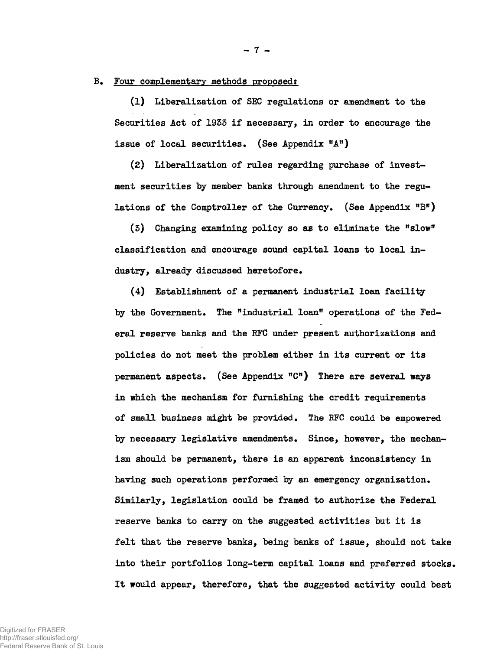## **B. Four complementary methods proposed?**

**(1) Liberalization of SEC regulations or amendment to the**  Securities Act of 1933 if necessary, in order to encourage the issue of local securities. (See Appendix "A")

**(2) Liberalization of rules regarding purchase of investment securities by member banks through amendment to the regu**lations of the Comptroller of the Currency. (See Appendix "B")

**(5) Changing examining policy so as to eliminate the** *<sup>n</sup>slow<sup>v</sup>* **classification and encourage sound capital loans to loca l in dustry, already discussed heretofore.** 

**(4) Establishment of a permanent industrial loan facilit y**  by the Government. The "industrial loan" operations of the Fed**eral reserve banks and the RFC under present authorizations and policies do not meet the problem either i n it s current or it s permanent aspects. (See Appendix "C<sup>11</sup>) There are several ways i n which the mechanism for furnishing the credit requirements of small business might be provided. The RFC could be empowered by necessary legislative amendments. Since, however, the mechan**ism should be permanent, there is an apparent inconsistency in **having such operations performed by an emergency organization. Similarly, legislation could be framed to authorize the Federal**  reserve banks to carry on the suggested activities but it is **felt that the reserve banks, being banks of issue, should not take**  into their portfolios long-term capital loans and preferred stocks. **I t would appear, therefore, that the suggested activity could best** 

Digitized for FRASER http://fraser.stlouisfed.org/ Federal Reserve Bank of St. Louis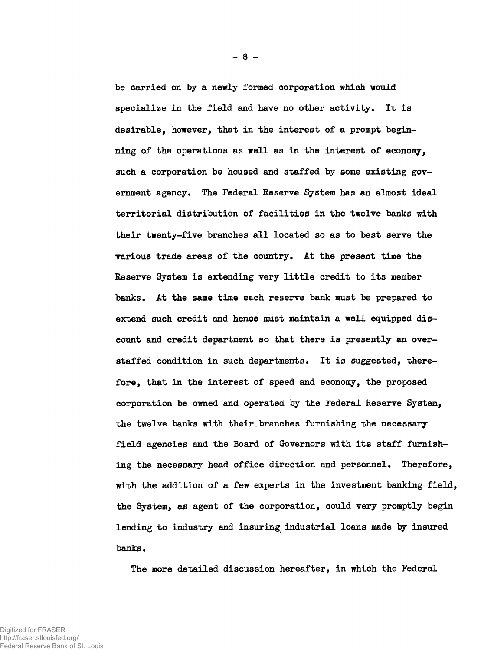**be carried on by a newly formed corporation which would**  specialize in the field and have no other activity. It is **desirable, however, that in the interest of a prompt beginning of the operations as well as in the interest of economy, such a corporation be housed and staffed by some existing government agency. The Federal Reserve System has an almost ideal territorial distribution of facilitie s in the twelve banks with**  their twenty-five branches all located so as to best serve the **various trade areas of the country. At the present time the**  Reserve System is extending very little credit to its member **banks. At the same time each reserve bank must be prepared to extend such credit and hence must maintain a well equipped dis**count and credit department so that there is presently an overstaffed condition in such departments. It is suggested, there**fore, that in the interest of speed and economy, the proposed corporation be owned and operated by the Federal Reserve System, the twelve banks with their.branches furnishing the necessary field agencies and the Board of Governors with it s staff furnishing the necessary head office direction and personnel. Therefore, with the addition of a few experts in the investment banking field, the System, as agent of the corporation, could very promptly begin lending to industry and insuring industrial loans made by insured banks.** 

**The more detailed discussion hereafter, in which the Federal**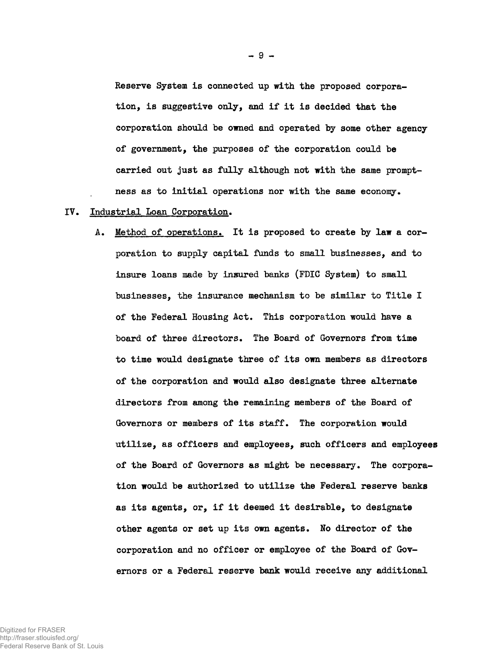Reserve System is connected up with the proposed corpora**tion, i s suggestive only, and i f i t i s decided that the corporation should be owned and operated by some other agency of government, the purposes of the corporation could be carried out just as fully although not with the same promptness as to initia l operations nor with the same economy.** 

## **IV. Industrial Loan Corporation.**

A. Method of operations. It is proposed to create by law a cor**poration to supply capital funds to small businesses, and to insure loans made by insured banks (FDIC System) to small**  businesses, the insurance mechanism to be similar to Title I **of the Federal Housing Act. This corporation would have a board of three directors. The Board of Governors from time to time would designate three of it s own members as directors of the corporation and would also designate three alternate directors from among the remaining members of the Board of**  Governors or members of its staff. The corporation would **utilize , as officers and employees, such officers and employees of the Board of Governors as might be necessary. The corpora**tion would be authorized to utilize the Federal reserve banks **as it s agents, or, i f i t deemed i t desirable, to designate**  other agents or set up its own agents. No director of the **corporation and no officer or employee of the Board of Governors or a Federal reserve bank would receive any additional**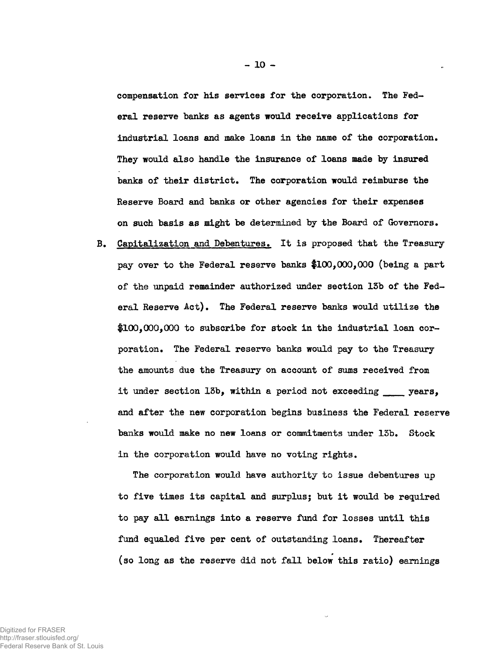**compensation for his services for the corporation. The Federal reserve banks as agents would receive applications for industrial loans and mice loans in the name of the corporation. They would also handle the insurance of loans made by insured banks of their district. The corporation would reimburse the Reserve Board and banks or other agencies for their expenses on such basis as might be determined by the Board of Governors.** 

**B. Capitalization and Debentures. I t i s proposed that the Treasury pay over to the Federal reserve banks \$100,000,000 (being a part**  of the unpaid remainder authorized under section 13b of the Federal Reserve Act). The Federal reserve banks would utilize the **#100,000,000 to subscribe for stock in the industrial loan corporation. The Federal reserve banks would pay to the Treasury the amounts due the Treasury on account of sums received from**  it under section 13b, within a period not exceeding \_\_\_\_\_ years, **and after the new corporation begins business the Federal reserve banks would make no new loans or commitments under 13b. Stock i n the corporation would have no voting rights.** 

**The corporation would have authority to issue debentures up**  to five times its capital and surplus; but it would be required to pay all earnings into a reserve fund for losses until this **fund equaled five per cent of outstanding loans. Thereafter**  (so long as the reserve did not fall below this ratio) earnings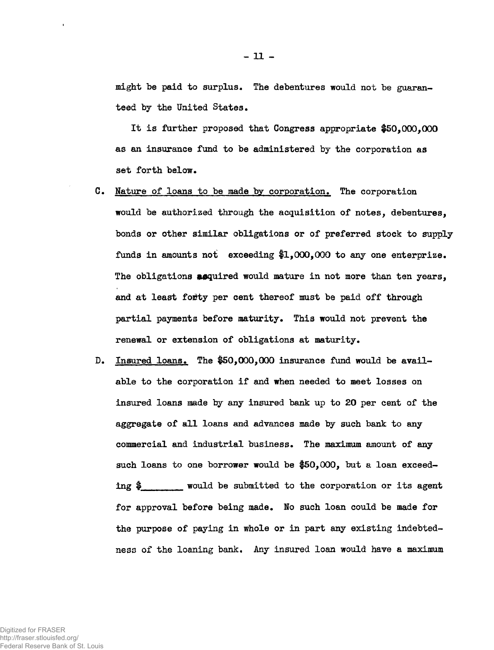**might be paid to surplus• The debentures would not be guaranteed by the United States.** 

**I t i s further proposed that Congress appropriate #50,000,000 as an insurance fund to be administered by the corporation as set forth below.** 

- **C. Mature of loans to be made by corporation. The corporation would be authorized through the acquisition of notes, debentures, bonds or other similar obligations or of preferred stock to supply funds in amounts not exceeding #1,000,000 to any one enterprize. The obligations enquired would mature in not more than ten years, and at least fo£ty per cent thereof must be paid off through partial payments before maturity. This would not prevent the renewal or extension of obligations at maturity.**
- **D.** Insured loans. The \$50,000,000 insurance fund would be available to the corporation if and when needed to meet losses on **insured loans made by any insured bank up to 20 per cent of the aggregate of al l loans and advances made by such bank to any commercial and industrial business. The maximum amount of any such loans to one borrower would be #50,000, but a loan exceed**ing  $\frac{1}{2}$  would be submitted to the corporation or its agent **for approval before being made. Ho such loan could be made for the purpose of paying in whole or in part any existing indebtedness of the loaning bank. Any insured loan would have a maximum**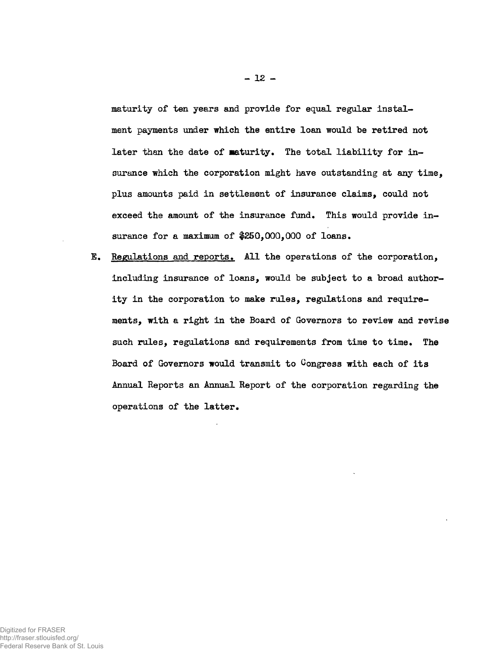**maturity of ten years and provide for equal regular instal ment payments under which the entire loan would be retired not**  later than the date of maturity. The total liability for in**surance which the corporation might have outstanding at any time, plus amounts paid in settlement of insurance claims, could not exceed the amount of the insurance fund. This would provide insurance for a maximum of \$250,000,000 of loans.** 

E. Regulations and reports. All the operations of the corporation, **including insurance of loans, would be subject to a broad author**ity in the corporation to make rules, regulations and require**ments, with a right in the Board of Governors to review and revise such rules, regulations and requirements from time to time. The**  Board of Governors would transmit to Congress with each of its **Annual Reports an Annual Report of the corporation regarding the operations of the latter .**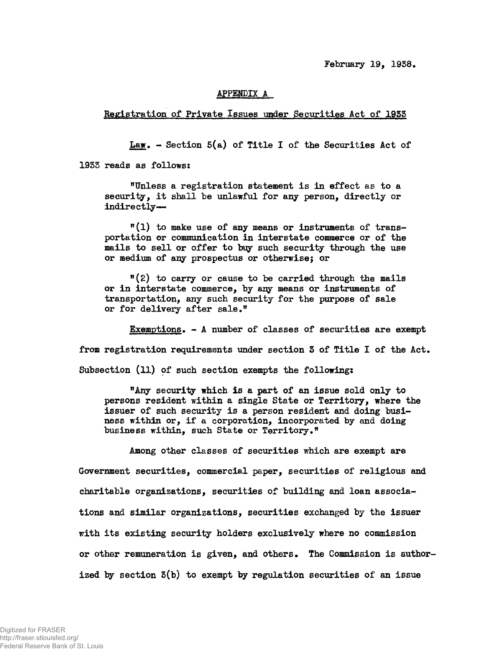**February 19, 1938.** 

## **APPENDIX A**

**Registration of Private Issues under Securities Act of 1955** 

**Law. - Section 5(a) of Title I of the Securities Act of** 

**1935 reads as follows:** 

**"Unless a registration statement is in effect as to a** security, it shall be unlawful for any person, directly or indirectly-

**n ( l ) to make use of any means or instruments of transportation or communication in interstate commerce or of the**  mails to sell or offer to buy such security through the use **or medium of any prospectus or otherwisej or** 

**"(£) to carry or cause to be carried through the mails or i n interstate commerce, by any means or instruments of transportation, any such security for the purpose of sale or for delivery after sale."** 

**Exemptions. - A number of classes of securities are** *exempt*  **from registration requirements under section 5 of Title I of the Act. Subsection (11) of such section exempts the following:** 

**"Any security which i s a part of an issue sold only to persons resident within a single State or Territory, where the**  issuer of such security is a person resident and doing busi**ness within or, i f a corporation, incorporated by and doing business within, such State or Territory."** 

**Among other classes of securities which are exempt are Government securities, commercial paper, securities of religious and charitable organizations, securities of building and loan associations and similar organizations, securities exchanged by the issuer with it s existing security holders exclusively where no commission**  or other remuneration is given, and others. The Commission is author**ized by section 5(b) to exempt by regulation securities of an issue**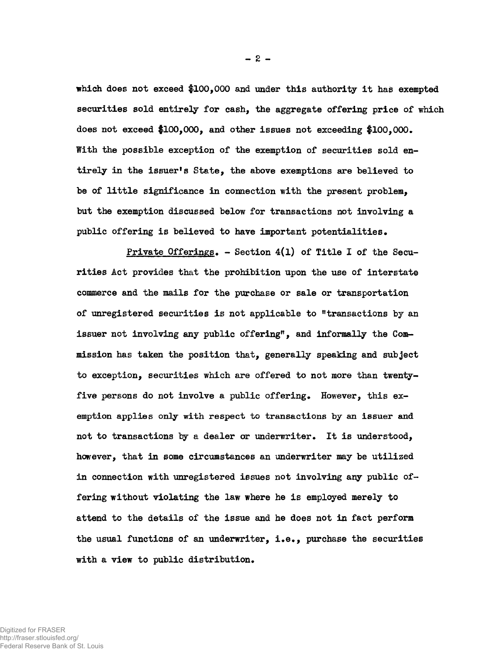which does not exceed \$100,000 and under this authority it has exempted **securities sold entirely for cash, the aggregate offering price of which does not exceed \$100,000, and other issues not exceeding \$100,000. With the possible exception of the exemption of securities sold entirely in the issuer<sup>1</sup> s State, the above exemptions are believed to be of littl e significance in connection with the present problem, but the exemption discussed below for transactions not involving a public offering i s believed to have important potentialities.** 

**Private Offerings. - Section 4(1) of Title I of the Securities Act provides that the prohibition upon the use of interstate commerce and the mails for the purchase or sale or transportation of unregistered securities i s not applicable to "transactions by an issuer not involving any public offering", and informally the Commission has taken the position that, generally speaking and subject to exception, securities which are offered to not more than twentyfive persons do not involve a public offering. However, this exemption applies only with respect to transactions by an issuer and**  not to transactions by a dealer or underwriter. It is understood, **however, that in some circumstances an underwriter may be utilized in connection with unregistered issues not involving any public of**fering without violating the law where he is employed merely to **attend to the details of the issue and he does not in fact perform the usual functions of an underwriter, i.e., purchase the securities with a view to public distribution.**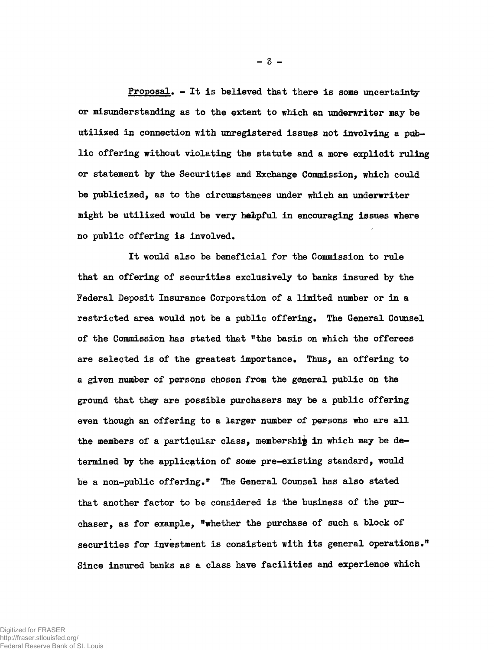Proposal. - It is believed that there is some uncertainty **or misunderstanding as to the extent to which an underwriter may be**  utilized in connection with unregistered issues not involving a pub**l i c offering without violating the statute and a more explicit ruling or statement by the Securities and Exchange Commission, which could be publicized, as to the circumstances under which an underwriter might be utilized would be very helpful in encouraging issues where**  no public offering is involved.

**I t would also be beneficial for the Commission to rule that an offering of securities exclusively to banks insured by the Federal Deposit Insurance Corporation of a limited number or in a**  restricted area would not be a public offering. The General Counsel **of the Commission has stated that <sup>n</sup>the basis on which the offerees are selected i s of the greatest importance. Thus, an offering to a given number of persons chosen from the general public on the ground that they are possible purchasers may be a public offering**  even though an offering to a larger number of persons who are all **the members of a particular class, membership in which may be determined by the application of some pre-existing standard, would be a non-public offering." The General Counsel has also stated**  that another factor to be considered is the business of the pur**chaser, as for example, "whether the purchase of such a block of**  securities for investment is consistent with its general operations." Since insured banks as a class have facilities and experience which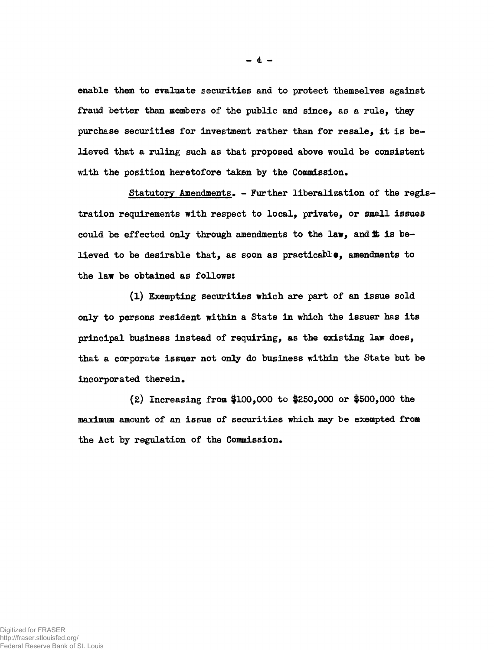**enable them to evaluate securities and to protect themselves against fraud better than members of the public and since, as a rule, they**  purchase securities for investment rather than for resale, it is be**lieved that a ruling such as that proposed above would be consistent with the position heretofore taken by the Commission.** 

Statutory Amendments. - Further liberalization of the regis**tration requirements with respect to local, private, or small issues**  could be effected only through amendments to the law, and **i** is be**lieved to be desirable that, as soon as practicable, amendments to the law be obtained as follows:** 

**(1) Exempting securities which are part of an issue sold**  only to persons resident within a State in which the issuer has its **principal business instead of requiring, as the existing law does, that a corporate issuer not only do business within the State but be**  incorporated therein.

**(2) Increasing from #100,000 to #250,000 or #500,000 the maximum amount of an issue of securities which may be exempted from the Act by regulation of the Commission.** 

**- 4 -**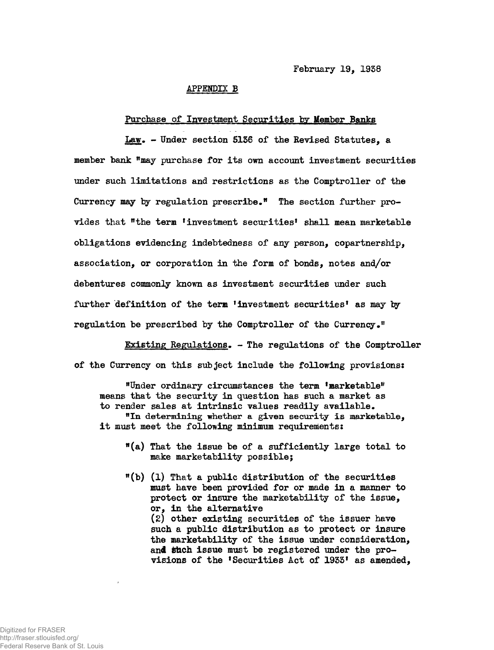### **APPENDIX B**

## **Purchase of Investment Securities by Member Banks**

**Law. - Under section 5136 of the Revised Statutes, a member bank "may purchase for it s own account investment securities under such limitations and restrictions as the Comptroller of the Currency may by regulation prescribe." The section further provides that "the term investment securities<sup>1</sup> shall mean marketable obligations evidencing indebtedness of any person, copartnership, association, or corporation in the form of bonds, notes and/or debentures commonly known as investment securities under such further definition of the term<sup>1</sup> investment securities<sup>1</sup> as may by regulation be prescribed by the Comptroller of the Currency."** 

**Existing Regulations. - The regulations of the Comptroller of the Currency on this subject include the following provisions:** 

**"Under ordinary circumstances the term 'marketable® means that the security in question has such a market as to render sales at intrinsic values readily available.** 

"In determining whether a given security is marketable, **i t must meet the following minimum requirements:** 

- **"(a) That the issue be of a sufficiently large total to make marketability possible;**
- **"(b) (1) That a public distribution of the securities must have been provided for or made in a manner to protect or insure the marketability of the issue, or, i n the alternative (2) other existing securities of the issuer have such a public distribution as to protect or insure the marketability of the issue under consideration,**  and such issue must be registered under the pro**visions of the 'Securities Act of 1933<sup>1</sup> as amended,**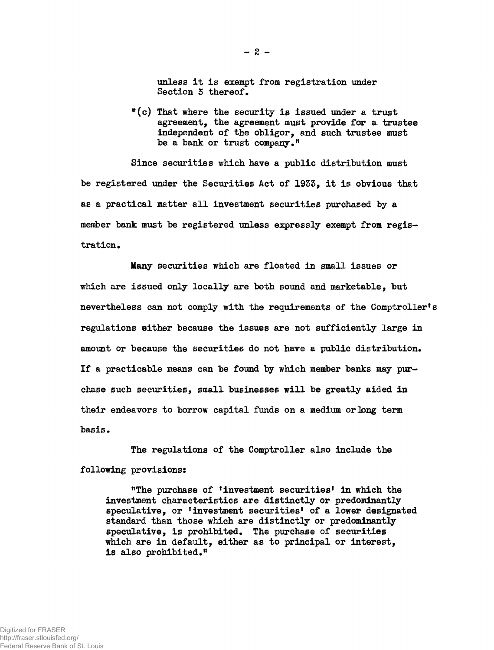**unless I t i s exempt from registration under Section 3 thereof.** 

**tt(c) That where the security i s issued under a trust agreement, the agreement must provide for a trustee independent of the obligor, and such trustee must be a bank or trust company."** 

**Since securities which have a public distribution must**  be registered under the Securities Act of 1933, it is obvious that **as a practical matter al l investment securities purchased by a member bank must be registered unless expressly exempt from registration.** 

**Many securities which are floated in small issues or which are issued only locally are both sound and marketable, but nevertheless can not comply with the requirements of the Comptroller's regulations either because the issues are not sufficiently large in amount or because the securities do not have a public distribution. I f a practicable means can be found by which member banks may pur**chase such securities, small businesses will be greatly aided in **their endeavors to borrow capital funds on a medium or long term basis•** 

**The regulations of the Comptroller also include the following provisions:** 

**<sup>n</sup>The purchase of 'investment securities<sup>1</sup> in which the investment characteristics are distinctly or predominantly speculative, or <sup>1</sup>investment securities<sup>1</sup> of a lower designated standard than those which are distinctly or predominantly speculative, i s prohibited. The purchase of securities which are in default, either as to principal or interest, i s also prohibited.®** 

 $- 2 -$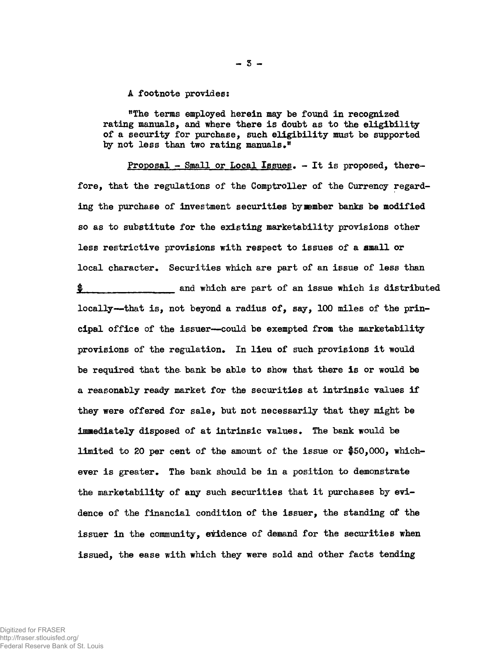**A footnote provides:** 

**<sup>w</sup>The terms employed herein may be found in recognized**  rating manuals, and where there is doubt as to the eligibility **of a security for purchase, such eligibilit y must be supported by not less than two rating manuals."** 

Proposal - Small or Local Issues. - It is proposed, there**fore, that the regulations of the Comptroller of the Currency regarding the purchase of investment securities by member banks be modified so as to substitute for the existing marketability provisions other less restrictive provisions with respect to issues of a email or local character\* Securities which are part of an issue of less than g** and which are part of an issue which is distributed **locally—that is , not beyond a radius of, say, 100 miles of the principal office of the issuer—could be exempted from the marketability provisions of the regulation. In lieu of such provisions i t would**  be required that the bank be able to show that there is or would be a reasonably ready market for the securities at intrinsic values if **they were offered for sale, but not necessarily that they might be Immediately disposed of at intrinsic values. The bank would be limited to 20 per cent of the amount of the issue or #50,000, whichever i s greater. The bank should be i n a position to demonstrate the marketability of any such securities that i t purchases by evidence of the financial condition of the issuer, the standing of the issuer in the community, evidence of demand for the securities when issued, the ease with which they were sold and other facts tending** 

Digitized for FRASER http://fraser.stlouisfed.org/ Federal Reserve Bank of St. Louis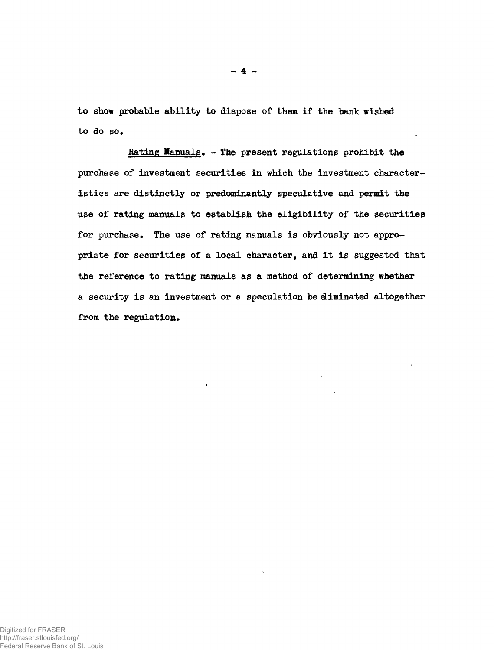to show probable ability to dispose of them if the bank wished **to do so.** 

**Rating Manuals. - The present regulations prohibit the**  purchase of investment securities in which the investment characteristics are distinctly or predominantly speculative and permit the **use of rating manuals to establish the eligibilit y of the securities**  for purchase. The use of rating manuals is obviously not appropriate for securities of a local character, and it is suggested that **the reference to rating manuals as a method of determining whether**  a security is an investment or a speculation be diminated altogether **from the regulation.**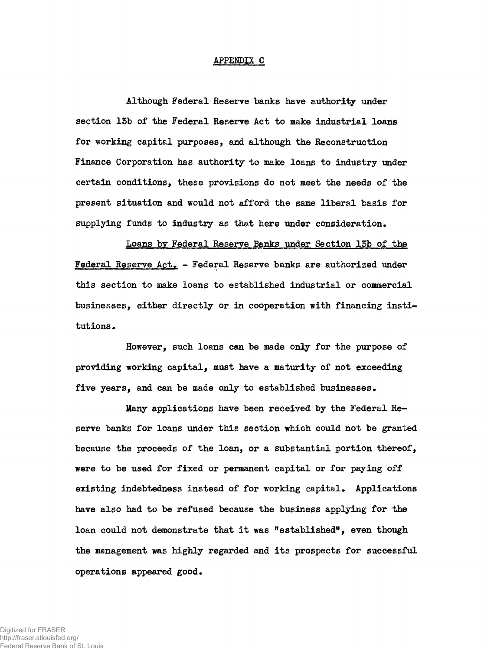### APPENDIX C

**Although Federal Reserve banks have authority under section 13b of the Federal Reserve Act to make industrial loans for working capital purposes, and although the Reconstruction Finance Corporation has authority to make loans to industry under certain conditions, these provisions do not meet the needs of the present situation and would not afford the same liberal basis for supplying funds to industry as that here under consideration.** 

**Loans by Federal Reserve Banks under Section 15b of the Federal Reserve Act. - Federal Reserve banks are authorized under this section to make loans to established industrial or commercial businesses, either directly or in cooperation with financing insti**  tutions.

**However, such loans can be made only for the purpose of providing working capital, must have a maturity of not exceeding five years, and can be made only to established businesses.** 

**Many applications have been received by the Federal Reserve banks for loans under this section which could not be granted because the proceeds of the loan, or a substantial portion thereof, were to be used for fixed or permanent capital or for paying off existing indebtedness instead of for working capital. Applications have also had to be refused because the business applying for the loan could not demonstrate that i t was "established<sup>11</sup> , even though**  the management was highly regarded and its prospects for successful **operations appeared good.**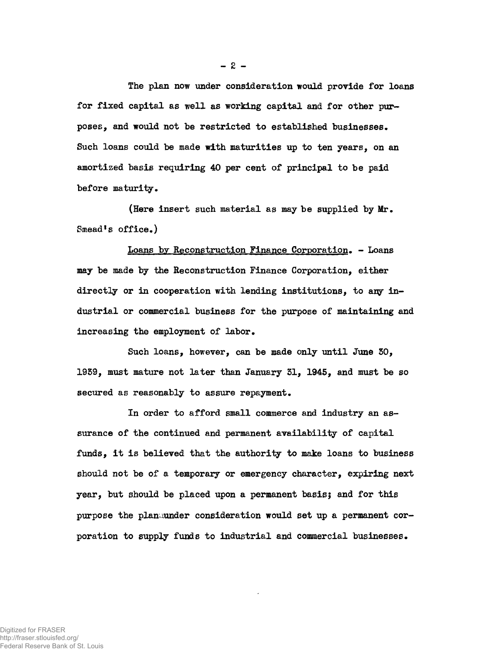**The plan now under consideration would provide for loans for fixed capital as well as working capital and for other purposes, and would not be restricted to established businesses. Such loans could be made with maturities up to ten years, on an amortized basis requiring 40 per cent of principal to be paid before maturity.** 

**(Here insert such material as may be supplied by Mr. Smead<sup>1</sup> s office.)** 

**Loans by Reconstruction Finance Corporation. - Loans may be made by the Reconstruction Finance Corporation, either directly or in cooperation with lending institutions, to any industrial or commercial business for the purpose of maintaining and increasing the employment of labor.** 

Such loans, however, can be made only until June 30, **1959, must mature not later than January 51, 1945, and must be so secured as reasonably to assure repayment.** 

**In order to afford small commerce and industry an assurance of the continued and permanent availability of capital funds, i t i s believed that the authority to make loans to business should not be of a temporary or emergency character, expiring next year, but should be placed upon a permanent basis; and for this purpose the planuunder consideration would set up a permanent corporation to supply funds to industrial and commercial businesses.**